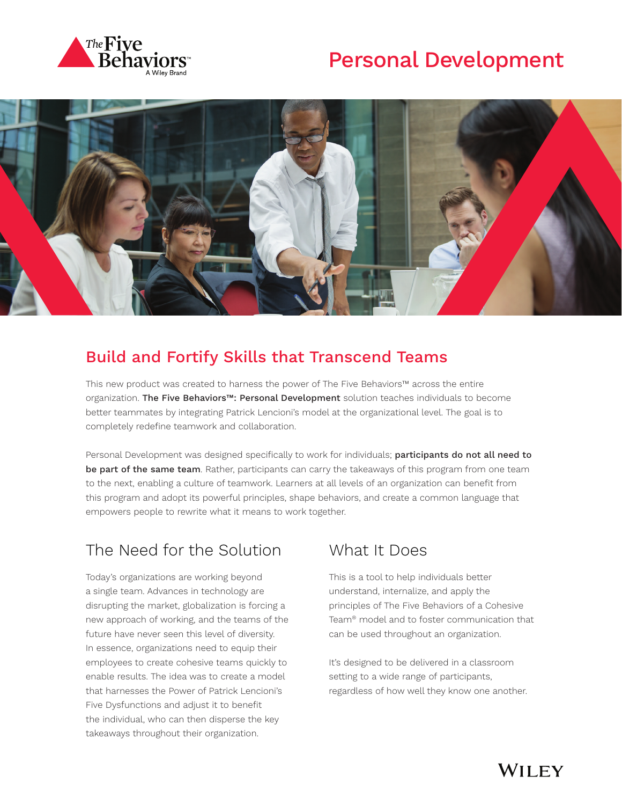





### Build and Fortify Skills that Transcend Teams

This new product was created to harness the power of The Five Behaviors™ across the entire organization. The Five Behaviors™: Personal Development solution teaches individuals to become better teammates by integrating Patrick Lencioni's model at the organizational level. The goal is to completely redefine teamwork and collaboration.

Personal Development was designed specifically to work for individuals; participants do not all need to be part of the same team. Rather, participants can carry the takeaways of this program from one team to the next, enabling a culture of teamwork. Learners at all levels of an organization can benefit from this program and adopt its powerful principles, shape behaviors, and create a common language that empowers people to rewrite what it means to work together.

# The Need for the Solution

Today's organizations are working beyond a single team. Advances in technology are disrupting the market, globalization is forcing a new approach of working, and the teams of the future have never seen this level of diversity. In essence, organizations need to equip their employees to create cohesive teams quickly to enable results. The idea was to create a model that harnesses the Power of Patrick Lencioni's Five Dysfunctions and adjust it to benefit the individual, who can then disperse the key takeaways throughout their organization.

#### What It Does

This is a tool to help individuals better understand, internalize, and apply the principles of The Five Behaviors of a Cohesive Team® model and to foster communication that can be used throughout an organization.

It's designed to be delivered in a classroom setting to a wide range of participants, regardless of how well they know one another.